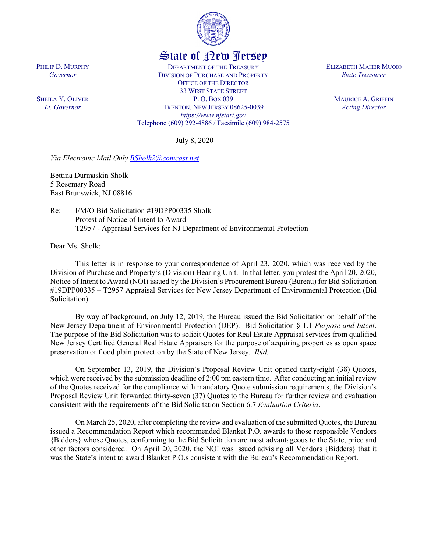

## State of New Jersey

DEPARTMENT OF THE TREASURY DIVISION OF PURCHASE AND PROPERTY OFFICE OF THE DIRECTOR 33 WEST STATE STREET P. O. BOX 039 TRENTON, NEW JERSEY 08625-0039 *https://www.njstart.gov* Telephone (609) 292-4886 / Facsimile (609) 984-2575

July 8, 2020

*Via Electronic Mail Only [BSholk2@comcast.net](mailto:BSholk2@comcast.net)*

Bettina Durmaskin Sholk 5 Rosemary Road East Brunswick, NJ 08816

Re: I/M/O Bid Solicitation #19DPP00335 Sholk Protest of Notice of Intent to Award T2957 - Appraisal Services for NJ Department of Environmental Protection

Dear Ms. Sholk:

This letter is in response to your correspondence of April 23, 2020, which was received by the Division of Purchase and Property's (Division) Hearing Unit. In that letter, you protest the April 20, 2020, Notice of Intent to Award (NOI) issued by the Division's Procurement Bureau (Bureau) for Bid Solicitation #19DPP00335 – T2957 Appraisal Services for New Jersey Department of Environmental Protection (Bid Solicitation).

By way of background, on July 12, 2019, the Bureau issued the Bid Solicitation on behalf of the New Jersey Department of Environmental Protection (DEP). Bid Solicitation § 1.1 *Purpose and Intent*. The purpose of the Bid Solicitation was to solicit Quotes for Real Estate Appraisal services from qualified New Jersey Certified General Real Estate Appraisers for the purpose of acquiring properties as open space preservation or flood plain protection by the State of New Jersey. *Ibid.*

On September 13, 2019, the Division's Proposal Review Unit opened thirty-eight (38) Quotes, which were received by the submission deadline of 2:00 pm eastern time. After conducting an initial review of the Quotes received for the compliance with mandatory Quote submission requirements, the Division's Proposal Review Unit forwarded thirty-seven (37) Quotes to the Bureau for further review and evaluation consistent with the requirements of the Bid Solicitation Section 6.7 *Evaluation Criteria*.

On March 25, 2020, after completing the review and evaluation of the submitted Quotes, the Bureau issued a Recommendation Report which recommended Blanket P.O. awards to those responsible Vendors {Bidders} whose Quotes, conforming to the Bid Solicitation are most advantageous to the State, price and other factors considered. On April 20, 2020, the NOI was issued advising all Vendors {Bidders} that it was the State's intent to award Blanket P.O.s consistent with the Bureau's Recommendation Report.

PHILIP D. MURPHY *Governor*

SHEILA Y. OLIVER *Lt. Governor*

ELIZABETH MAHER MUOIO *State Treasurer*

> MAURICE A. GRIFFIN *Acting Director*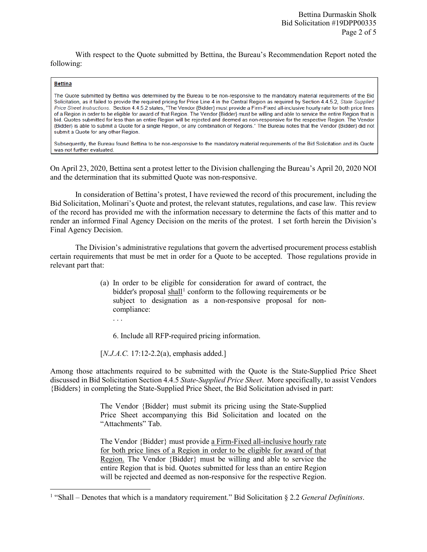With respect to the Quote submitted by Bettina, the Bureau's Recommendation Report noted the following:

## **Bettina**

l

The Quote submitted by Bettina was determined by the Bureau to be non-responsive to the mandatory material requirements of the Bid Solicitation, as it failed to provide the required pricing for Price Line 4 in the Central Region as required by Section 4.4.5.2, State Supplied Price Sheet Instructions. Section 4.4.5.2 states, "The Vendor (Bidder) must provide a Firm-Fixed all-inclusive hourly rate for both price lines of a Region in order to be eligible for award of that Region. The Vendor {Bidder} must be willing and able to service the entire Region that is bid. Quotes submitted for less than an entire Region will be rejected and deemed as non-responsive for the respective Region. The Vendor {Bidder} is able to submit a Quote for a single Region, or any combination of Regions." The Bureau notes that the Vendor {Bidder} did not submit a Quote for any other Region.

Subsequently, the Bureau found Bettina to be non-responsive to the mandatory material requirements of the Bid Solicitation and its Quote was not further evaluated.

On April 23, 2020, Bettina sent a protest letter to the Division challenging the Bureau's April 20, 2020 NOI and the determination that its submitted Quote was non-responsive.

In consideration of Bettina's protest, I have reviewed the record of this procurement, including the Bid Solicitation, Molinari's Quote and protest, the relevant statutes, regulations, and case law. This review of the record has provided me with the information necessary to determine the facts of this matter and to render an informed Final Agency Decision on the merits of the protest. I set forth herein the Division's Final Agency Decision.

The Division's administrative regulations that govern the advertised procurement process establish certain requirements that must be met in order for a Quote to be accepted. Those regulations provide in relevant part that:

- (a) In order to be eligible for consideration for award of contract, the bidder's proposal shall<sup>[1](#page-1-0)</sup> conform to the following requirements or be subject to designation as a non-responsive proposal for noncompliance:
	- . . .

6. Include all RFP-required pricing information.

[*N.J.A.C.* 17:12-2.2(a), emphasis added.]

Among those attachments required to be submitted with the Quote is the State-Supplied Price Sheet discussed in Bid Solicitation Section 4.4.5 *State-Supplied Price Sheet*. More specifically, to assist Vendors {Bidders} in completing the State-Supplied Price Sheet, the Bid Solicitation advised in part:

> The Vendor {Bidder} must submit its pricing using the State-Supplied Price Sheet accompanying this Bid Solicitation and located on the "Attachments" Tab.

> The Vendor {Bidder} must provide a Firm-Fixed all-inclusive hourly rate for both price lines of a Region in order to be eligible for award of that Region. The Vendor {Bidder} must be willing and able to service the entire Region that is bid. Quotes submitted for less than an entire Region will be rejected and deemed as non-responsive for the respective Region.

<span id="page-1-0"></span><sup>1</sup> "Shall – Denotes that which is a mandatory requirement." Bid Solicitation § 2.2 *General Definitions*.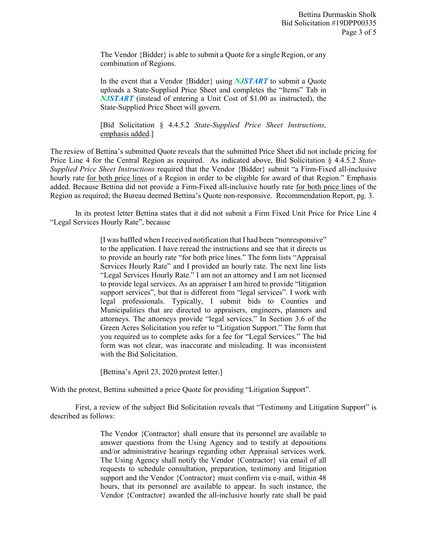The Vendor {Bidder} is able to submit a Quote for a single Region, or any combination of Regions.

In the event that a Vendor {Bidder} using *NJSTART* to submit a Quote uploads a State-Supplied Price Sheet and completes the "Items" Tab in *NJSTART* (instead of entering a Unit Cost of \$1.00 as instructed), the State-Supplied Price Sheet will govern.

[Bid Solicitation § 4.4.5.2 *State-Supplied Price Sheet Instructions,* emphasis added.]

The review of Bettina's submitted Quote reveals that the submitted Price Sheet did not include pricing for Price Line 4 for the Central Region as required. As indicated above, Bid Solicitation § 4.4.5.2 *State-Supplied Price Sheet Instructions* required that the Vendor {Bidder} submit "a Firm-Fixed all-inclusive hourly rate for both price lines of a Region in order to be eligible for award of that Region." Emphasis added. Because Bettina did not provide a Firm-Fixed all-inclusive hourly rate for both price lines of the Region as required; the Bureau deemed Bettina's Quote non-responsive. Recommendation Report, pg. 3.

In its protest letter Bettina states that it did not submit a Firm Fixed Unit Price for Price Line 4 "Legal Services Hourly Rate", because

> [I was baffled when I received notification that I had been "nonresponsive" to the application. I have reread the instructions and see that it directs us to provide an hourly rate "for both price lines." The form lists "Appraisal Services Hourly Rate" and I provided an hourly rate. The next line lists "Legal Services Hourly Rate." I am not an attorney and I am not licensed to provide legal services. As an appraiser I am hired to provide "litigation support services", but that is different from "legal services". I work with legal professionals. Typically, I submit bids to Counties and Municipalities that are directed to appraisers, engineers, planners and attorneys. The attorneys provide "legal services." In Section 3.6 of the Green Acres Solicitation you refer to "Litigation Support." The form that you required us to complete asks for a fee for "Legal Services." The bid form was not clear, was inaccurate and misleading. It was inconsistent with the Bid Solicitation.

[Bettina's April 23, 2020 protest letter.]

With the protest, Bettina submitted a price Quote for providing "Litigation Support".

First, a review of the subject Bid Solicitation reveals that "Testimony and Litigation Support" is described as follows:

> The Vendor {Contractor} shall ensure that its personnel are available to answer questions from the Using Agency and to testify at depositions and/or administrative hearings regarding other Appraisal services work. The Using Agency shall notify the Vendor {Contractor} via email of all requests to schedule consultation, preparation, testimony and litigation support and the Vendor {Contractor} must confirm via e-mail, within 48 hours, that its personnel are available to appear. In such instance, the Vendor {Contractor} awarded the all-inclusive hourly rate shall be paid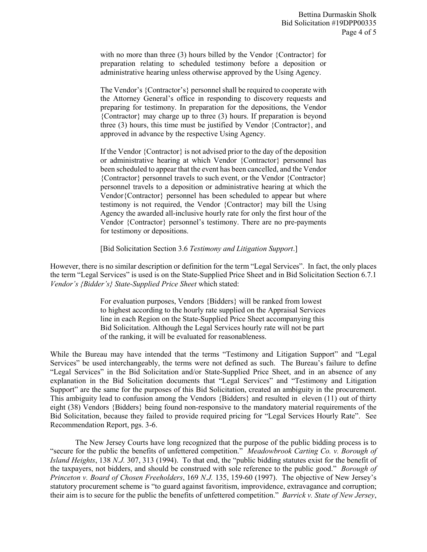with no more than three (3) hours billed by the Vendor {Contractor} for preparation relating to scheduled testimony before a deposition or administrative hearing unless otherwise approved by the Using Agency.

The Vendor's {Contractor's} personnel shall be required to cooperate with the Attorney General's office in responding to discovery requests and preparing for testimony. In preparation for the depositions, the Vendor {Contractor} may charge up to three (3) hours. If preparation is beyond three (3) hours, this time must be justified by Vendor {Contractor}, and approved in advance by the respective Using Agency.

If the Vendor {Contractor} is not advised prior to the day of the deposition or administrative hearing at which Vendor {Contractor} personnel has been scheduled to appear that the event has been cancelled, and the Vendor {Contractor} personnel travels to such event, or the Vendor {Contractor} personnel travels to a deposition or administrative hearing at which the Vendor{Contractor} personnel has been scheduled to appear but where testimony is not required, the Vendor {Contractor} may bill the Using Agency the awarded all-inclusive hourly rate for only the first hour of the Vendor {Contractor} personnel's testimony. There are no pre-payments for testimony or depositions.

[Bid Solicitation Section 3.6 *Testimony and Litigation Support*.]

However, there is no similar description or definition for the term "Legal Services". In fact, the only places the term "Legal Services" is used is on the State-Supplied Price Sheet and in Bid Solicitation Section 6.7.1 *Vendor's {Bidder's} State-Supplied Price Sheet* which stated:

> For evaluation purposes, Vendors {Bidders} will be ranked from lowest to highest according to the hourly rate supplied on the Appraisal Services line in each Region on the State-Supplied Price Sheet accompanying this Bid Solicitation. Although the Legal Services hourly rate will not be part of the ranking, it will be evaluated for reasonableness.

While the Bureau may have intended that the terms "Testimony and Litigation Support" and "Legal Services" be used interchangeably, the terms were not defined as such. The Bureau's failure to define "Legal Services" in the Bid Solicitation and/or State-Supplied Price Sheet, and in an absence of any explanation in the Bid Solicitation documents that "Legal Services" and "Testimony and Litigation Support" are the same for the purposes of this Bid Solicitation, created an ambiguity in the procurement. This ambiguity lead to confusion among the Vendors {Bidders} and resulted in eleven (11) out of thirty eight (38) Vendors {Bidders} being found non-responsive to the mandatory material requirements of the Bid Solicitation, because they failed to provide required pricing for "Legal Services Hourly Rate". See Recommendation Report, pgs. 3-6.

The New Jersey Courts have long recognized that the purpose of the public bidding process is to "secure for the public the benefits of unfettered competition." *Meadowbrook Carting Co. v. Borough of Island Heights*, 138 *N.J.* 307, 313 (1994). To that end, the "public bidding statutes exist for the benefit of the taxpayers, not bidders, and should be construed with sole reference to the public good." *Borough of Princeton v. Board of Chosen Freeholders*, 169 *N.J.* 135, 159-60 (1997). The objective of New Jersey's statutory procurement scheme is "to guard against favoritism, improvidence, extravagance and corruption; their aim is to secure for the public the benefits of unfettered competition." *Barrick v. State of New Jersey*,